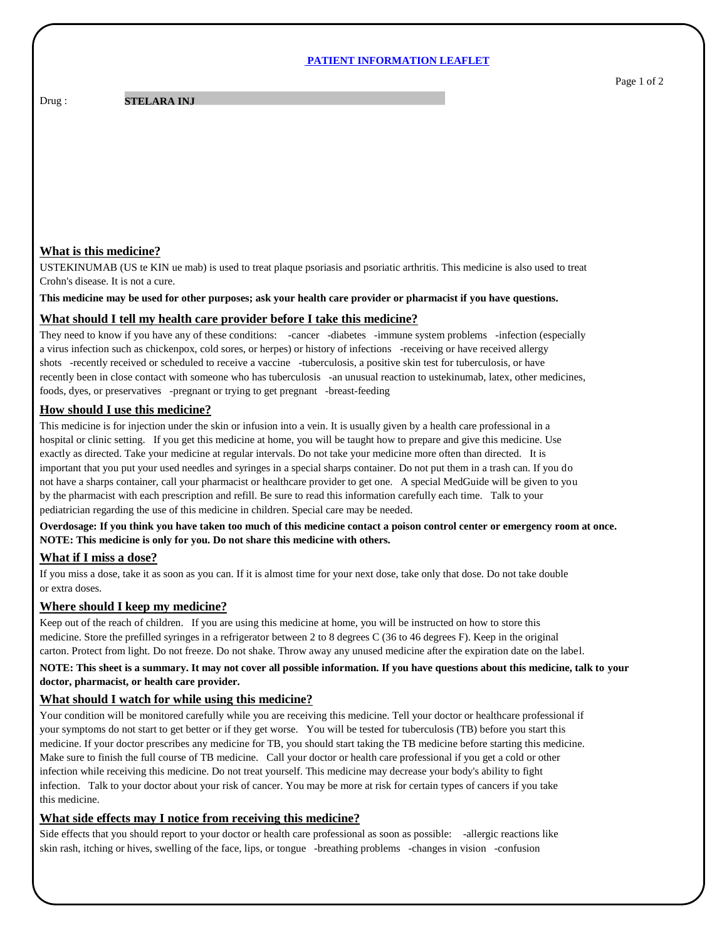#### **PATIENT INFORMATION LEAFLET**

Drug : **STELARA INJ** 

# **What is this medicine?**

USTEKINUMAB (US te KIN ue mab) is used to treat plaque psoriasis and psoriatic arthritis. This medicine is also used to treat Crohn's disease. It is not a cure.

**This medicine may be used for other purposes; ask your health care provider or pharmacist if you have questions.**

### **What should I tell my health care provider before I take this medicine?**

They need to know if you have any of these conditions: -cancer -diabetes -immune system problems -infection (especially a virus infection such as chickenpox, cold sores, or herpes) or history of infections -receiving or have received allergy shots -recently received or scheduled to receive a vaccine -tuberculosis, a positive skin test for tuberculosis, or have recently been in close contact with someone who has tuberculosis -an unusual reaction to ustekinumab, latex, other medicines, foods, dyes, or preservatives -pregnant or trying to get pregnant -breast-feeding

# **How should I use this medicine?**

This medicine is for injection under the skin or infusion into a vein. It is usually given by a health care professional in a hospital or clinic setting. If you get this medicine at home, you will be taught how to prepare and give this medicine. Use exactly as directed. Take your medicine at regular intervals. Do not take your medicine more often than directed. It is important that you put your used needles and syringes in a special sharps container. Do not put them in a trash can. If you do not have a sharps container, call your pharmacist or healthcare provider to get one. A special MedGuide will be given to you by the pharmacist with each prescription and refill. Be sure to read this information carefully each time. Talk to your pediatrician regarding the use of this medicine in children. Special care may be needed.

**Overdosage: If you think you have taken too much of this medicine contact a poison control center or emergency room at once. NOTE: This medicine is only for you. Do not share this medicine with others.**

# **What if I miss a dose?**

If you miss a dose, take it as soon as you can. If it is almost time for your next dose, take only that dose. Do not take double or extra doses.

## **Where should I keep my medicine?**

Keep out of the reach of children. If you are using this medicine at home, you will be instructed on how to store this medicine. Store the prefilled syringes in a refrigerator between 2 to 8 degrees C (36 to 46 degrees F). Keep in the original carton. Protect from light. Do not freeze. Do not shake. Throw away any unused medicine after the expiration date on the label.

# **NOTE: This sheet is a summary. It may not cover all possible information. If you have questions about this medicine, talk to your doctor, pharmacist, or health care provider.**

# **What should I watch for while using this medicine?**

Your condition will be monitored carefully while you are receiving this medicine. Tell your doctor or healthcare professional if your symptoms do not start to get better or if they get worse. You will be tested for tuberculosis (TB) before you start this medicine. If your doctor prescribes any medicine for TB, you should start taking the TB medicine before starting this medicine. Make sure to finish the full course of TB medicine. Call your doctor or health care professional if you get a cold or other infection while receiving this medicine. Do not treat yourself. This medicine may decrease your body's ability to fight infection. Talk to your doctor about your risk of cancer. You may be more at risk for certain types of cancers if you take this medicine.

# **What side effects may I notice from receiving this medicine?**

Side effects that you should report to your doctor or health care professional as soon as possible: -allergic reactions like skin rash, itching or hives, swelling of the face, lips, or tongue -breathing problems -changes in vision -confusion